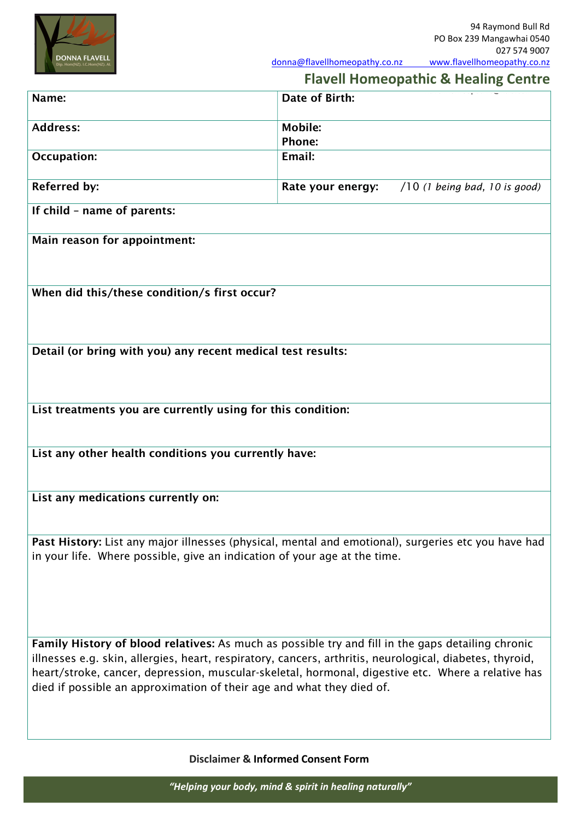

donna@flavellhomeopathy.co.nz www.flavellhomeopathy.co.nz

## <u>027 574 900</u> Flavell Homeopathic & Healing Centre

| <b>Flavell Hollieupathic &amp; Healing Centre</b>                                                                                                                                                                                                                                       |                                                      |  |  |  |
|-----------------------------------------------------------------------------------------------------------------------------------------------------------------------------------------------------------------------------------------------------------------------------------------|------------------------------------------------------|--|--|--|
| Name:                                                                                                                                                                                                                                                                                   | Date of Birth:                                       |  |  |  |
| <b>Address:</b>                                                                                                                                                                                                                                                                         | <b>Mobile:</b>                                       |  |  |  |
|                                                                                                                                                                                                                                                                                         | Phone:                                               |  |  |  |
| <b>Occupation:</b>                                                                                                                                                                                                                                                                      | Email:                                               |  |  |  |
| <b>Referred by:</b>                                                                                                                                                                                                                                                                     | Rate your energy:<br>$/10$ (1 being bad, 10 is good) |  |  |  |
| If child - name of parents:                                                                                                                                                                                                                                                             |                                                      |  |  |  |
| Main reason for appointment:                                                                                                                                                                                                                                                            |                                                      |  |  |  |
|                                                                                                                                                                                                                                                                                         |                                                      |  |  |  |
| When did this/these condition/s first occur?                                                                                                                                                                                                                                            |                                                      |  |  |  |
|                                                                                                                                                                                                                                                                                         |                                                      |  |  |  |
| Detail (or bring with you) any recent medical test results:                                                                                                                                                                                                                             |                                                      |  |  |  |
|                                                                                                                                                                                                                                                                                         |                                                      |  |  |  |
| List treatments you are currently using for this condition:                                                                                                                                                                                                                             |                                                      |  |  |  |
|                                                                                                                                                                                                                                                                                         |                                                      |  |  |  |
| List any other health conditions you currently have:                                                                                                                                                                                                                                    |                                                      |  |  |  |
|                                                                                                                                                                                                                                                                                         |                                                      |  |  |  |
| List any medications currently on:                                                                                                                                                                                                                                                      |                                                      |  |  |  |
|                                                                                                                                                                                                                                                                                         |                                                      |  |  |  |
| Past History: List any major illnesses (physical, mental and emotional), surgeries etc you have had                                                                                                                                                                                     |                                                      |  |  |  |
| in your life. Where possible, give an indication of your age at the time.                                                                                                                                                                                                               |                                                      |  |  |  |
|                                                                                                                                                                                                                                                                                         |                                                      |  |  |  |
|                                                                                                                                                                                                                                                                                         |                                                      |  |  |  |
| Family History of blood relatives: As much as possible try and fill in the gaps detailing chronic                                                                                                                                                                                       |                                                      |  |  |  |
| illnesses e.g. skin, allergies, heart, respiratory, cancers, arthritis, neurological, diabetes, thyroid,<br>heart/stroke, cancer, depression, muscular-skeletal, hormonal, digestive etc. Where a relative has<br>died if possible an approximation of their age and what they died of. |                                                      |  |  |  |
|                                                                                                                                                                                                                                                                                         |                                                      |  |  |  |

Disclaimer & Informed Consent Form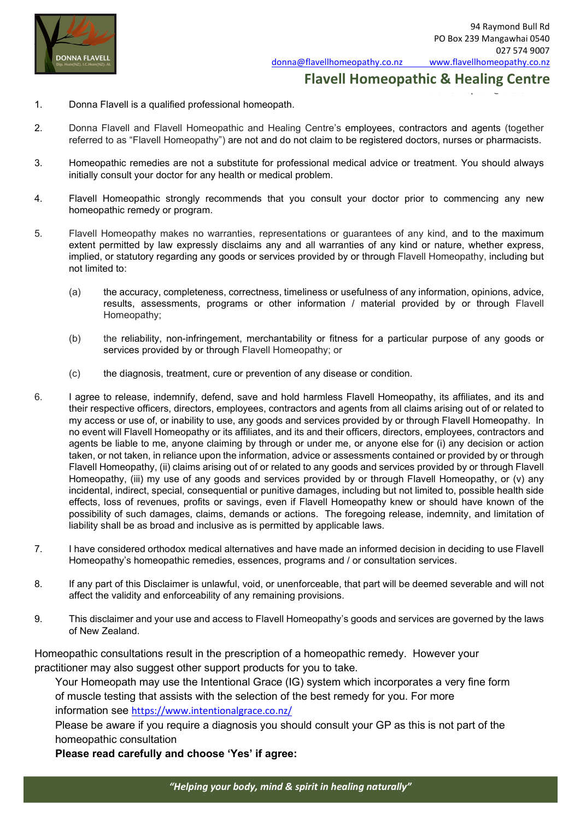

flavellhomeopathic@xtra.co.nz

donna@flavellhomeopathy.co.nz www.flavellhomeopathy.co.nz Flavell Homeopathic & Healing Centre

- 1. Donna Flavell is a qualified professional homeopath.
- 2. Donna Flavell and Flavell Homeopathic and Healing Centre's employees, contractors and agents (together referred to as "Flavell Homeopathy") are not and do not claim to be registered doctors, nurses or pharmacists.
- 3. Homeopathic remedies are not a substitute for professional medical advice or treatment. You should always initially consult your doctor for any health or medical problem.
- 4. Flavell Homeopathic strongly recommends that you consult your doctor prior to commencing any new homeopathic remedy or program.
- 5. Flavell Homeopathy makes no warranties, representations or guarantees of any kind, and to the maximum extent permitted by law expressly disclaims any and all warranties of any kind or nature, whether express, implied, or statutory regarding any goods or services provided by or through Flavell Homeopathy, including but not limited to:
	- (a) the accuracy, completeness, correctness, timeliness or usefulness of any information, opinions, advice, results, assessments, programs or other information / material provided by or through Flavell Homeopathy;
	- (b) the reliability, non-infringement, merchantability or fitness for a particular purpose of any goods or services provided by or through Flavell Homeopathy; or
	- (c) the diagnosis, treatment, cure or prevention of any disease or condition.
- 6. I agree to release, indemnify, defend, save and hold harmless Flavell Homeopathy, its affiliates, and its and their respective officers, directors, employees, contractors and agents from all claims arising out of or related to my access or use of, or inability to use, any goods and services provided by or through Flavell Homeopathy. In no event will Flavell Homeopathy or its affiliates, and its and their officers, directors, employees, contractors and agents be liable to me, anyone claiming by through or under me, or anyone else for (i) any decision or action taken, or not taken, in reliance upon the information, advice or assessments contained or provided by or through Flavell Homeopathy, (ii) claims arising out of or related to any goods and services provided by or through Flavell Homeopathy, (iii) my use of any goods and services provided by or through Flavell Homeopathy, or (v) any incidental, indirect, special, consequential or punitive damages, including but not limited to, possible health side effects, loss of revenues, profits or savings, even if Flavell Homeopathy knew or should have known of the possibility of such damages, claims, demands or actions. The foregoing release, indemnity, and limitation of liability shall be as broad and inclusive as is permitted by applicable laws.
- 7. I have considered orthodox medical alternatives and have made an informed decision in deciding to use Flavell Homeopathy's homeopathic remedies, essences, programs and / or consultation services.
- 8. If any part of this Disclaimer is unlawful, void, or unenforceable, that part will be deemed severable and will not affect the validity and enforceability of any remaining provisions.
- 9. This disclaimer and your use and access to Flavell Homeopathy's goods and services are governed by the laws of New Zealand.

Homeopathic consultations result in the prescription of a homeopathic remedy. However your practitioner may also suggest other support products for you to take.

Your Homeopath may use the Intentional Grace (IG) system which incorporates a very fine form of muscle testing that assists with the selection of the best remedy for you. For more information see https://www.intentionalgrace.co.nz/

Please be aware if you require a diagnosis you should consult your GP as this is not part of the homeopathic consultation

Please read carefully and choose 'Yes' if agree:

"Helping your body, mind & spirit in healing naturally"